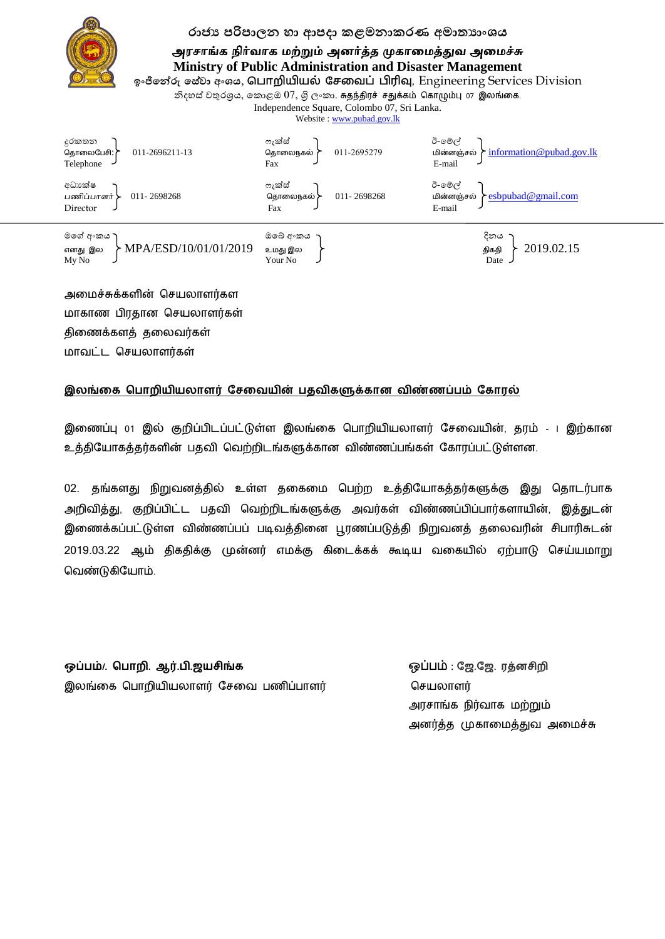

## රාජා පරිපාලන හා ආපදා කළමනාකරණ අමාතාාංශය

அரசாங்க நிர்வாக மற்றும் அனர்த்த முகாமைத்துவ அமைச்சு **Ministry of Public Administration and Disaster Management**

**ඉාංජිනේරු පන ේලා පමාංය**, **ப ொறியியல் சேவை ் பிரிவு,** Engineering Services Division

නිදහස් චතුරශුය, කොළඔ $07$ , ශිලංකා. சுதந்திரச் சதுக்கம் கொழும்பு 07 இலங்கை.

Independence Square, Colombo 07, Sri Lanka.

Website : www.pubad.gov.lk



அலச்சுக்கரின் தசயொரர்கர மாகாண பிரகான செயலாளர்கள் திணைக்களத் தலைவர்கள் ொவட்ட தசயொரர்கள்

## **இலங்கை ப ொறியியலொளர் சேகையின் தைிைளுக்ைொன ைிண்ணப் ம் சைொரல்**

இலணப்பு 01 இல் குமிப்பிடப்பட்டுள்ர இயங்லக தபொமிியொரர் பசலவின், ம் - I இற்கொன உத்தியோகத்தர்களின் பதவி வெற்றிடங்களுக்கான விண்ணப்பங்கள் கோரப்பட்டுள்ளன.

02. தங்களது நிறுவனத்தில் உள்ள தகைமை பெற்ற உத்தியோகத்தர்களுக்கு இது தொடர்பாக அறிவித்து, குறிப்பிட்ட பதவி வெற்றிடங்களுக்கு அவர்கள் விண்ணப்பிப்பார்களாயின், இத்துடன் இணைக்கப்பட்டுள்ள விண்ணப்பப் படிவத்தினை பூரணப்படுத்தி நிறுவனத் தலைவரின் சிபாரிசுடன் 2019.03.22 ஆம் திகதிக்கு முன்னர் எமக்கு கிடைக்கக் கூடிய வகையில் ஏற்பாடு செய்யமாறு தவண்டுகிபொம்.

**ஒப் ம்/. ப ொறி. ஆர். ி.ஜயேிங்ை** ஒப்பம் : **சஜ.சஜ. ரத்னேிறி** இயங்லக தபொமிியொரர் பசலவ பணிப்பொரர் தசயொரர்

 அசொங்க நிர்வொக ற்றும் அனர்த்த முகாமைத்துவ அமைச்சு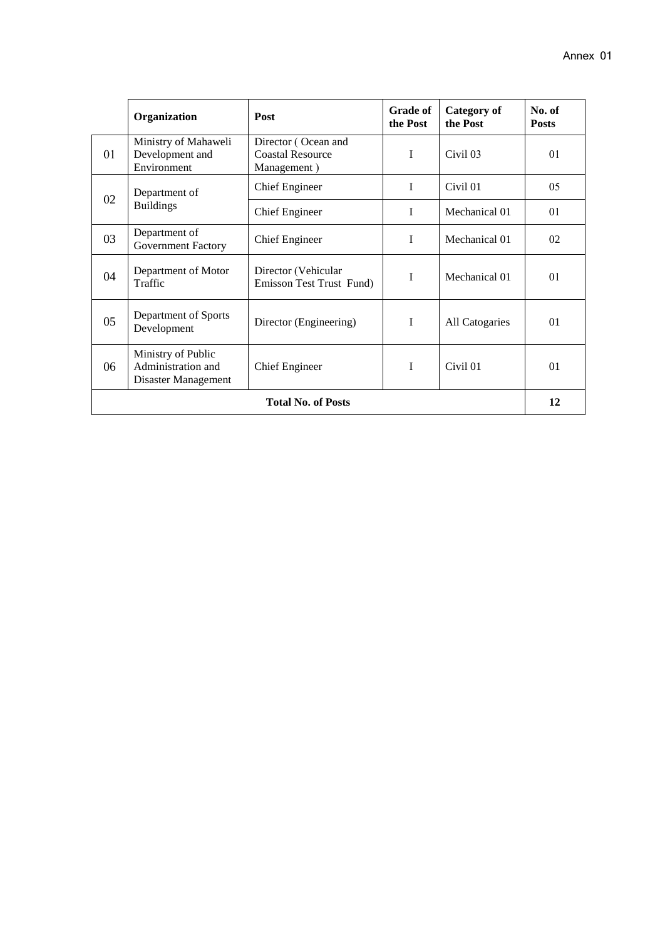|                           | Organization                                                    | Post                                                          | <b>Grade of</b><br>the Post | Category of<br>the Post | No. of<br><b>Posts</b> |
|---------------------------|-----------------------------------------------------------------|---------------------------------------------------------------|-----------------------------|-------------------------|------------------------|
| 01                        | Ministry of Mahaweli<br>Development and<br>Environment          | Director (Ocean and<br><b>Coastal Resource</b><br>Management) | $\mathbf I$                 | Civil 03                | 01                     |
| 02                        | Department of<br><b>Buildings</b>                               | <b>Chief Engineer</b>                                         | I                           | Civil 01                | 05                     |
|                           |                                                                 | Chief Engineer                                                | $\mathbf I$                 | Mechanical 01           | 01                     |
| 03                        | Department of<br><b>Government Factory</b>                      | <b>Chief Engineer</b>                                         | $\mathbf I$                 | Mechanical 01           | 02                     |
| 04                        | Department of Motor<br>Traffic                                  | Director (Vehicular<br>Emisson Test Trust Fund)               | I                           | Mechanical 01           | 01                     |
| 05                        | Department of Sports<br>Development                             | Director (Engineering)                                        | I                           | All Catogaries          | 01                     |
| 06                        | Ministry of Public<br>Administration and<br>Disaster Management | <b>Chief Engineer</b>                                         | I                           | Civil 01                | 01                     |
| <b>Total No. of Posts</b> |                                                                 |                                                               |                             |                         | 12                     |